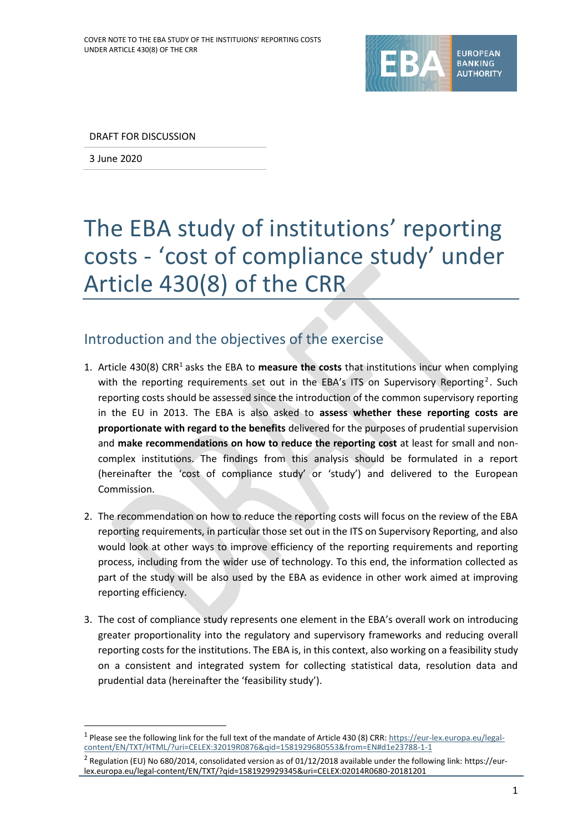

DRAFT FOR DISCUSSION

3 June 2020

1

# The EBA study of institutions' reporting costs - 'cost of compliance study' under Article 430(8) of the CRR

#### Introduction and the objectives of the exercise

- 1. Article 430(8) CRR<sup>1</sup> asks the EBA to **measure the costs** that institutions incur when complying with the reporting requirements set out in the EBA's ITS on Supervisory Reporting<sup>2</sup>. Such reporting costs should be assessed since the introduction of the common supervisory reporting in the EU in 2013. The EBA is also asked to **assess whether these reporting costs are proportionate with regard to the benefits** delivered for the purposes of prudential supervision and **make recommendations on how to reduce the reporting cost** at least for small and noncomplex institutions. The findings from this analysis should be formulated in a report (hereinafter the 'cost of compliance study' or 'study') and delivered to the European Commission.
- 2. The recommendation on how to reduce the reporting costs will focus on the review of the EBA reporting requirements, in particular those set out in the ITS on Supervisory Reporting, and also would look at other ways to improve efficiency of the reporting requirements and reporting process, including from the wider use of technology. To this end, the information collected as part of the study will be also used by the EBA as evidence in other work aimed at improving reporting efficiency.
- 3. The cost of compliance study represents one element in the EBA's overall work on introducing greater proportionality into the regulatory and supervisory frameworks and reducing overall reporting costs for the institutions. The EBA is, in this context, also working on a feasibility study on a consistent and integrated system for collecting statistical data, resolution data and prudential data (hereinafter the 'feasibility study').

<sup>&</sup>lt;sup>1</sup> Please see the following link for the full text of the mandate of Article 430 (8) CRR[: https://eur-lex.europa.eu/legal](https://eur-lex.europa.eu/legal-content/EN/TXT/HTML/?uri=CELEX:32019R0876&qid=1581929680553&from=EN#d1e23788-1-1)[content/EN/TXT/HTML/?uri=CELEX:32019R0876&qid=1581929680553&from=EN#d1e23788-1-1](https://eur-lex.europa.eu/legal-content/EN/TXT/HTML/?uri=CELEX:32019R0876&qid=1581929680553&from=EN#d1e23788-1-1)

<sup>&</sup>lt;sup>2</sup> Regulation (EU) No 680/2014, consolidated version as of 01/12/2018 available under the following link: https://eurlex.europa.eu/legal-content/EN/TXT/?qid=1581929929345&uri=CELEX:02014R0680-20181201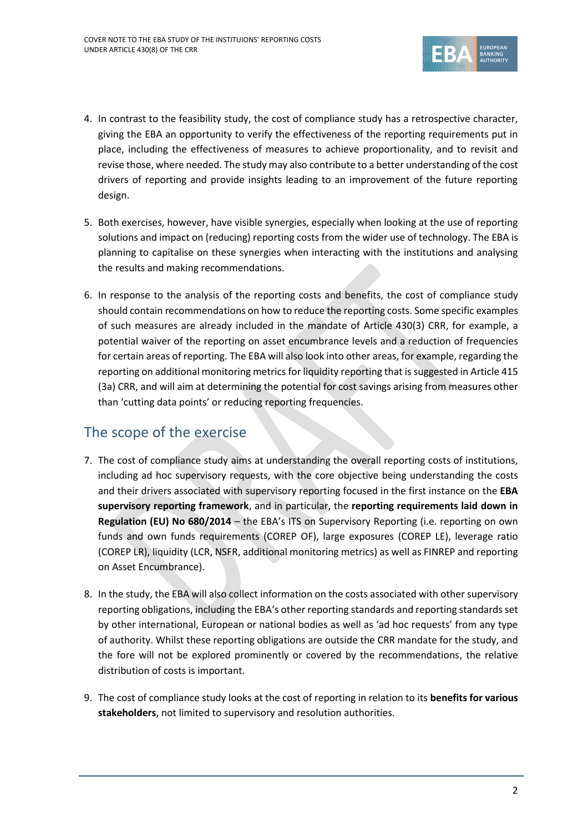

- 4. In contrast to the feasibility study, the cost of compliance study has a retrospective character, giving the EBA an opportunity to verify the effectiveness of the reporting requirements put in place, including the effectiveness of measures to achieve proportionality, and to revisit and revise those, where needed. The study may also contribute to a better understanding of the cost drivers of reporting and provide insights leading to an improvement of the future reporting design.
- 5. Both exercises, however, have visible synergies, especially when looking at the use of reporting solutions and impact on (reducing) reporting costs from the wider use of technology. The EBA is planning to capitalise on these synergies when interacting with the institutions and analysing the results and making recommendations.
- 6. In response to the analysis of the reporting costs and benefits, the cost of compliance study should contain recommendations on how to reduce the reporting costs. Some specific examples of such measures are already included in the mandate of Article 430(3) CRR, for example, a potential waiver of the reporting on asset encumbrance levels and a reduction of frequencies for certain areas of reporting. The EBA will also look into other areas, for example, regarding the reporting on additional monitoring metrics for liquidity reporting that is suggested in Article 415 (3a) CRR, and will aim at determining the potential for cost savings arising from measures other than 'cutting data points' or reducing reporting frequencies.

#### The scope of the exercise

- 7. The cost of compliance study aims at understanding the overall reporting costs of institutions, including ad hoc supervisory requests, with the core objective being understanding the costs and their drivers associated with supervisory reporting focused in the first instance on the **EBA supervisory reporting framework**, and in particular, the **reporting requirements laid down in Regulation (EU) No 680/2014** – the EBA's ITS on Supervisory Reporting (i.e. reporting on own funds and own funds requirements (COREP OF), large exposures (COREP LE), leverage ratio (COREP LR), liquidity (LCR, NSFR, additional monitoring metrics) as well as FINREP and reporting on Asset Encumbrance).
- 8. In the study, the EBA will also collect information on the costs associated with other supervisory reporting obligations, including the EBA's other reporting standards and reporting standards set by other international, European or national bodies as well as 'ad hoc requests' from any type of authority. Whilst these reporting obligations are outside the CRR mandate for the study, and the fore will not be explored prominently or covered by the recommendations, the relative distribution of costs is important.
- 9. The cost of compliance study looks at the cost of reporting in relation to its **benefits for various stakeholders**, not limited to supervisory and resolution authorities.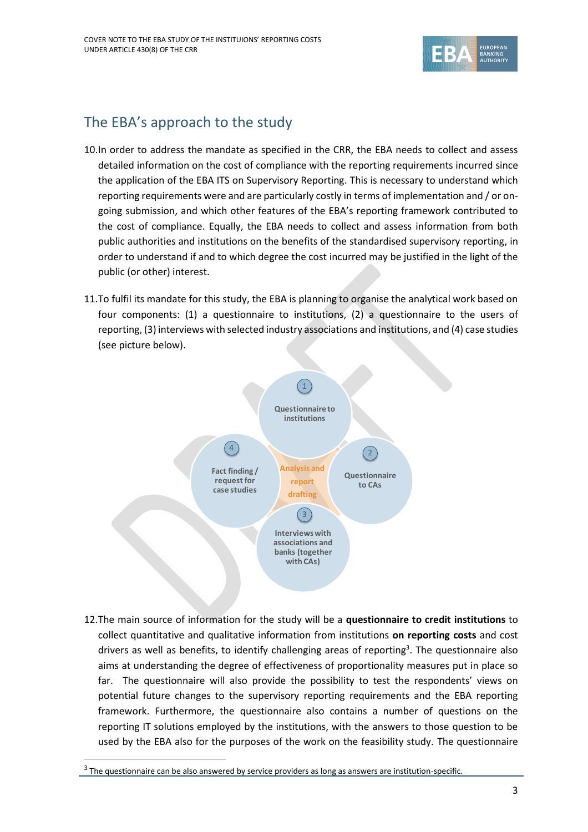

## The EBA's approach to the study

- 10.In order to address the mandate as specified in the CRR, the EBA needs to collect and assess detailed information on the cost of compliance with the reporting requirements incurred since the application of the EBA ITS on Supervisory Reporting. This is necessary to understand which reporting requirements were and are particularly costly in terms of implementation and / or ongoing submission, and which other features of the EBA's reporting framework contributed to the cost of compliance. Equally, the EBA needs to collect and assess information from both public authorities and institutions on the benefits of the standardised supervisory reporting, in order to understand if and to which degree the cost incurred may be justified in the light of the public (or other) interest.
- 11.To fulfil its mandate for this study, the EBA is planning to organise the analytical work based on four components: (1) a questionnaire to institutions, (2) a questionnaire to the users of reporting, (3) interviews with selected industry associations and institutions, and (4) case studies (see picture below).



12.The main source of information for the study will be a **questionnaire to credit institutions** to collect quantitative and qualitative information from institutions **on reporting costs** and cost drivers as well as benefits, to identify challenging areas of reporting<sup>3</sup>. The questionnaire also aims at understanding the degree of effectiveness of proportionality measures put in place so far. The questionnaire will also provide the possibility to test the respondents' views on potential future changes to the supervisory reporting requirements and the EBA reporting framework. Furthermore, the questionnaire also contains a number of questions on the reporting IT solutions employed by the institutions, with the answers to those question to be used by the EBA also for the purposes of the work on the feasibility study. The questionnaire

1

 $3$  The questionnaire can be also answered by service providers as long as answers are institution-specific.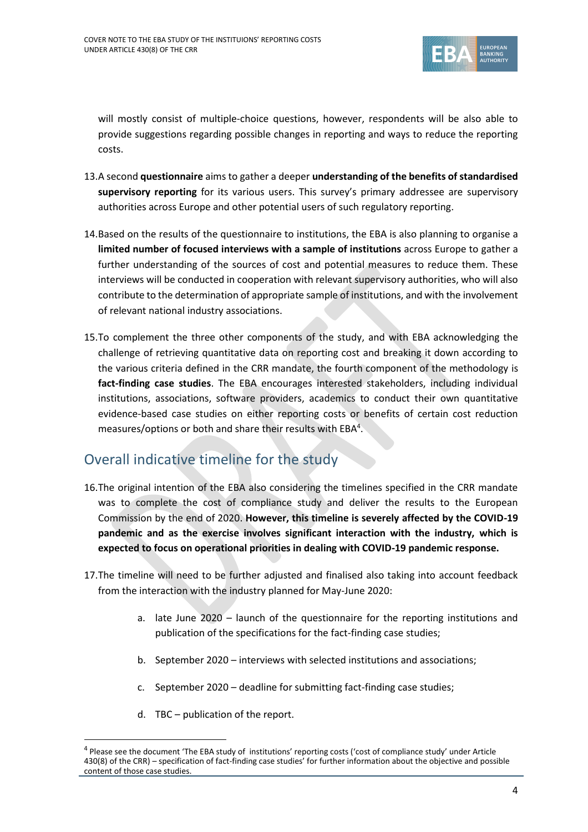

will mostly consist of multiple-choice questions, however, respondents will be also able to provide suggestions regarding possible changes in reporting and ways to reduce the reporting costs.

- 13.A second **questionnaire** aims to gather a deeper **understanding of the benefits of standardised supervisory reporting** for its various users. This survey's primary addressee are supervisory authorities across Europe and other potential users of such regulatory reporting.
- 14.Based on the results of the questionnaire to institutions, the EBA is also planning to organise a **limited number of focused interviews with a sample of institutions** across Europe to gather a further understanding of the sources of cost and potential measures to reduce them. These interviews will be conducted in cooperation with relevant supervisory authorities, who will also contribute to the determination of appropriate sample of institutions, and with the involvement of relevant national industry associations.
- 15.To complement the three other components of the study, and with EBA acknowledging the challenge of retrieving quantitative data on reporting cost and breaking it down according to the various criteria defined in the CRR mandate, the fourth component of the methodology is **fact-finding case studies**. The EBA encourages interested stakeholders, including individual institutions, associations, software providers, academics to conduct their own quantitative evidence-based case studies on either reporting costs or benefits of certain cost reduction measures/options or both and share their results with  $EBA<sup>4</sup>$ .

## Overall indicative timeline for the study

- 16.The original intention of the EBA also considering the timelines specified in the CRR mandate was to complete the cost of compliance study and deliver the results to the European Commission by the end of 2020. **However, this timeline is severely affected by the COVID-19 pandemic and as the exercise involves significant interaction with the industry, which is expected to focus on operational priorities in dealing with COVID-19 pandemic response.**
- 17.The timeline will need to be further adjusted and finalised also taking into account feedback from the interaction with the industry planned for May-June 2020:
	- a. late June 2020 launch of the questionnaire for the reporting institutions and publication of the specifications for the fact-finding case studies;
	- b. September 2020 interviews with selected institutions and associations;
	- c. September 2020 deadline for submitting fact-finding case studies;
	- d. TBC publication of the report.

1

<sup>&</sup>lt;sup>4</sup> Please see the document 'The EBA study of institutions' reporting costs ('cost of compliance study' under Article 430(8) of the CRR) – specification of fact-finding case studies' for further information about the objective and possible content of those case studies.